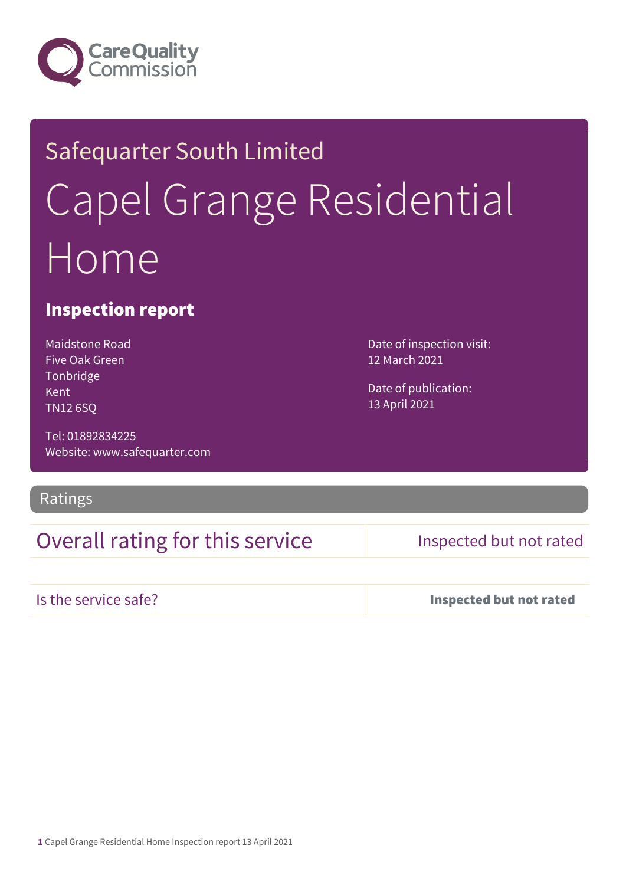

# Safequarter South Limited Capel Grange Residential Home

#### Inspection report

Maidstone Road Five Oak Green Tonbridge Kent TN12 6SQ

Tel: 01892834225 Website: www.safequarter.com

#### Ratings

## Overall rating for this service Inspected but not rated

Is the service safe? Inspected but not rated

Date of inspection visit: 12 March 2021

Date of publication: 13 April 2021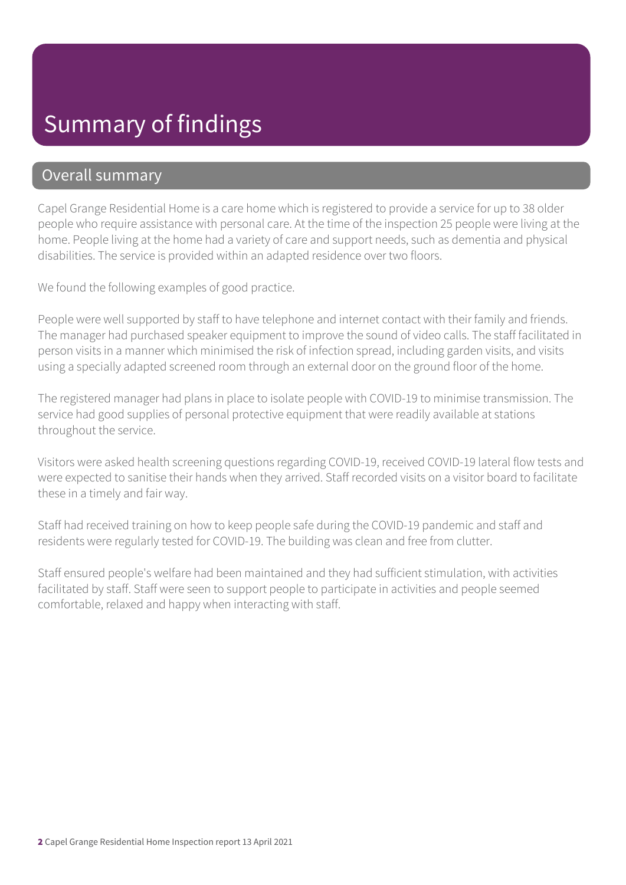# Summary of findings

#### Overall summary

Capel Grange Residential Home is a care home which is registered to provide a service for up to 38 older people who require assistance with personal care. At the time of the inspection 25 people were living at the home. People living at the home had a variety of care and support needs, such as dementia and physical disabilities. The service is provided within an adapted residence over two floors.

We found the following examples of good practice.

People were well supported by staff to have telephone and internet contact with their family and friends. The manager had purchased speaker equipment to improve the sound of video calls. The staff facilitated in person visits in a manner which minimised the risk of infection spread, including garden visits, and visits using a specially adapted screened room through an external door on the ground floor of the home.

The registered manager had plans in place to isolate people with COVID-19 to minimise transmission. The service had good supplies of personal protective equipment that were readily available at stations throughout the service.

Visitors were asked health screening questions regarding COVID-19, received COVID-19 lateral flow tests and were expected to sanitise their hands when they arrived. Staff recorded visits on a visitor board to facilitate these in a timely and fair way.

Staff had received training on how to keep people safe during the COVID-19 pandemic and staff and residents were regularly tested for COVID-19. The building was clean and free from clutter.

Staff ensured people's welfare had been maintained and they had sufficient stimulation, with activities facilitated by staff. Staff were seen to support people to participate in activities and people seemed comfortable, relaxed and happy when interacting with staff.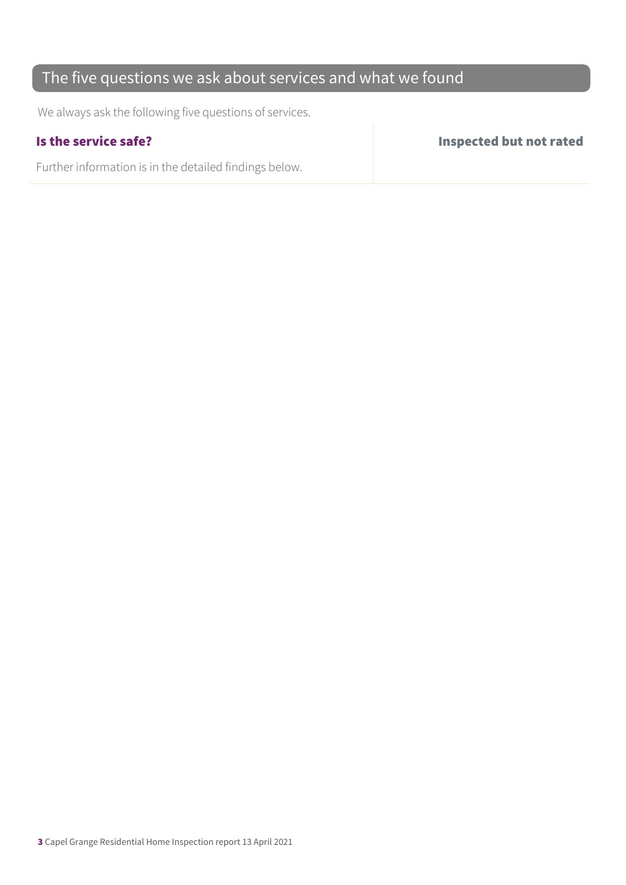### The five questions we ask about services and what we found

We always ask the following five questions of services.

Further information is in the detailed findings below.

Is the service safe? Inspected but not rated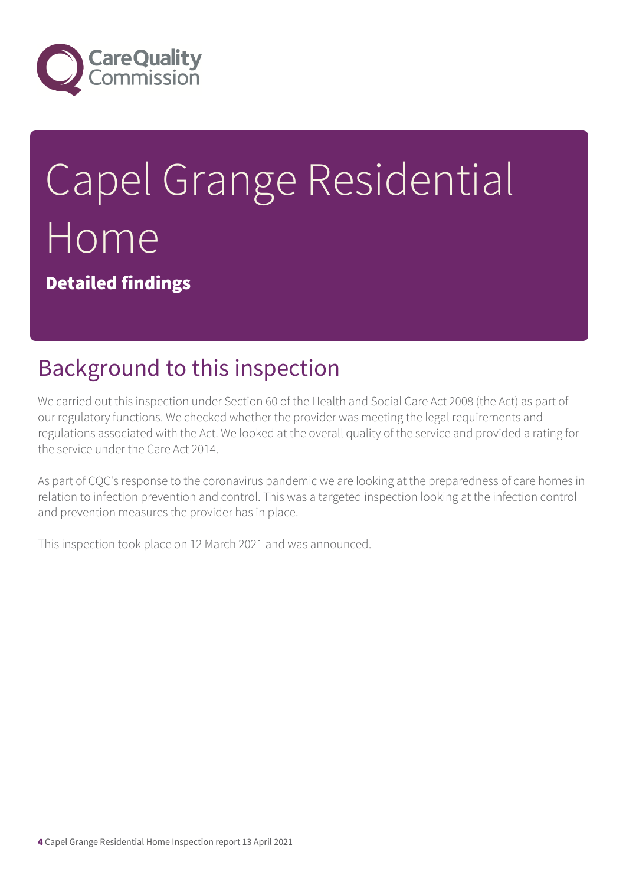

# Capel Grange Residential Home

Detailed findings

# Background to this inspection

We carried out this inspection under Section 60 of the Health and Social Care Act 2008 (the Act) as part of our regulatory functions. We checked whether the provider was meeting the legal requirements and regulations associated with the Act. We looked at the overall quality of the service and provided a rating for the service under the Care Act 2014.

As part of CQC's response to the coronavirus pandemic we are looking at the preparedness of care homes in relation to infection prevention and control. This was a targeted inspection looking at the infection control and prevention measures the provider has in place.

This inspection took place on 12 March 2021 and was announced.